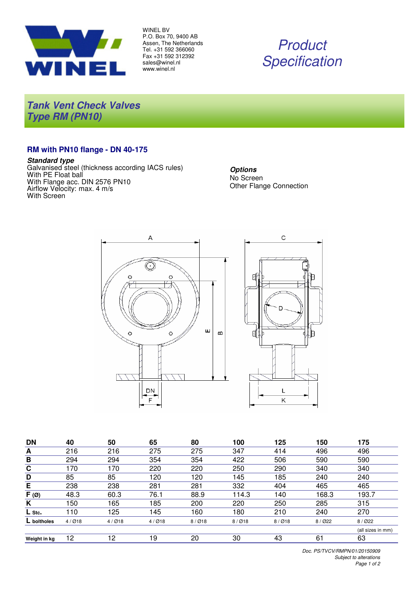

WINEL BV P.O. Box 70, 9400 AB Assen, The Netherlands Tel. +31 592 366060 Fax +31 592 312392 sales@winel.nl www.winel.nl

# Product **Specification**

**Tank Vent Check Valves Type RM (PN10)**

## **RM with PN10 flange - DN 40-175**

#### **Standard type**

Galvanised steel (thickness according IACS rules) With PE Float ball With Flange acc. DIN 2576 PN10 Airflow Velocity: max. 4 m/s With Screen





| <b>DN</b>          | 40    | 50    | 65    | 80    | 100   | 125   | 150     | 175               |
|--------------------|-------|-------|-------|-------|-------|-------|---------|-------------------|
| A                  | 216   | 216   | 275   | 275   | 347   | 414   | 496     | 496               |
| B                  | 294   | 294   | 354   | 354   | 422   | 506   | 590     | 590               |
| C                  | 170   | 170   | 220   | 220   | 250   | 290   | 340     | 340               |
| D                  | 85    | 85    | 120   | 120   | 145   | 185   | 240     | 240               |
| E                  | 238   | 238   | 281   | 281   | 332   | 404   | 465     | 465               |
| $\overline{F}$ (Ø) | 48.3  | 60.3  | 76.1  | 88.9  | 114.3 | 140   | 168.3   | 193.7             |
| K                  | 150   | 165   | 185   | 200   | 220   | 250   | 285     | 315               |
| $L$ Stc.           | 10    | 125   | 145   | 160   | 180   | 210   | 240     | 270               |
| L boltholes        | 4/Ø18 | 4/Ø18 | 4/Ø18 | 8/Ø18 | 8/Ø18 | 8/Ø18 | 8 / Ø22 | 8/022             |
|                    |       |       |       |       |       |       |         | (all sizes in mm) |
| Weight in kg       | 12    | 12    | 19    | 20    | 30    | 43    | 61      | 63                |

Doc. PS/TVCV/RMPN/01/20150909 Subject to alterations Page 1 of 2